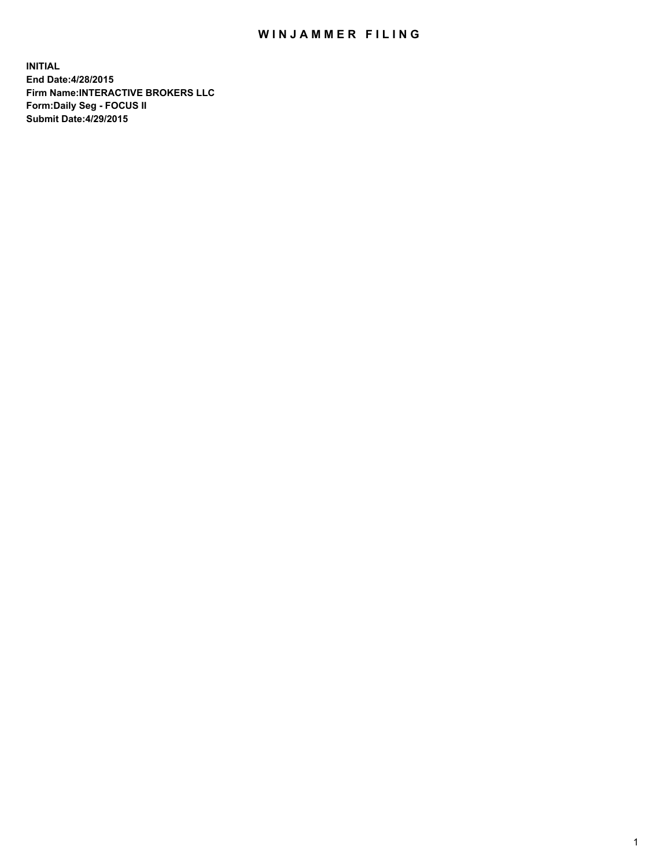## WIN JAMMER FILING

**INITIAL End Date:4/28/2015 Firm Name:INTERACTIVE BROKERS LLC Form:Daily Seg - FOCUS II Submit Date:4/29/2015**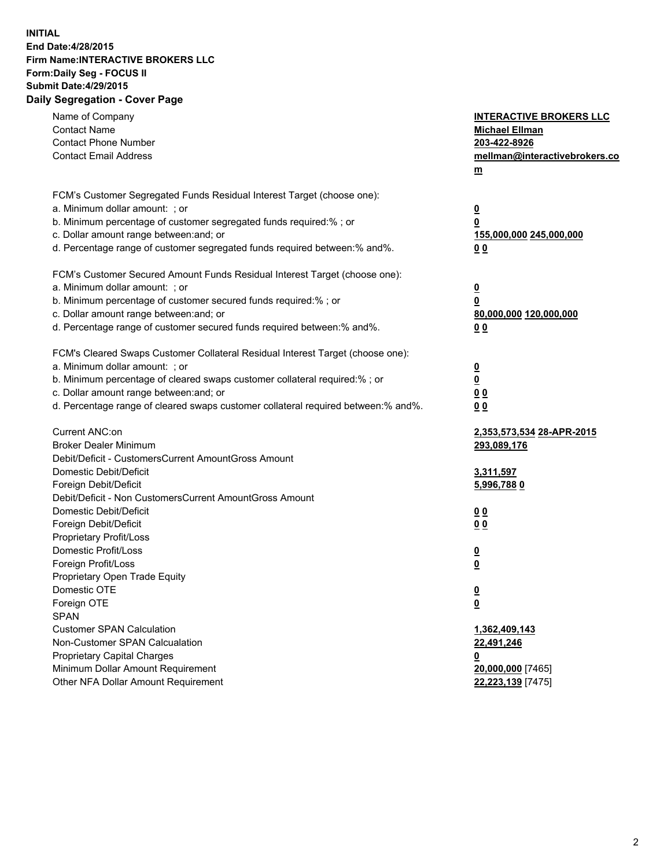## **INITIAL End Date:4/28/2015 Firm Name:INTERACTIVE BROKERS LLC Form:Daily Seg - FOCUS II Submit Date:4/29/2015 Daily Segregation - Cover Page**

| Name of Company<br><b>Contact Name</b><br><b>Contact Phone Number</b><br><b>Contact Email Address</b>                                                                                                                                                                                                                          | <b>INTERACTIVE BROKERS LLC</b><br><b>Michael Ellman</b><br>203-422-8926<br>mellman@interactivebrokers.co<br><u>m</u> |
|--------------------------------------------------------------------------------------------------------------------------------------------------------------------------------------------------------------------------------------------------------------------------------------------------------------------------------|----------------------------------------------------------------------------------------------------------------------|
| FCM's Customer Segregated Funds Residual Interest Target (choose one):<br>a. Minimum dollar amount: ; or<br>b. Minimum percentage of customer segregated funds required:% ; or<br>c. Dollar amount range between: and; or<br>d. Percentage range of customer segregated funds required between:% and%.                         | $\overline{\mathbf{0}}$<br>0<br>155,000,000 245,000,000<br>00                                                        |
| FCM's Customer Secured Amount Funds Residual Interest Target (choose one):<br>a. Minimum dollar amount: ; or<br>b. Minimum percentage of customer secured funds required:% ; or<br>c. Dollar amount range between: and; or<br>d. Percentage range of customer secured funds required between:% and%.                           | $\overline{\mathbf{0}}$<br>0<br>80,000,000 120,000,000<br>0 <sub>0</sub>                                             |
| FCM's Cleared Swaps Customer Collateral Residual Interest Target (choose one):<br>a. Minimum dollar amount: ; or<br>b. Minimum percentage of cleared swaps customer collateral required:% ; or<br>c. Dollar amount range between: and; or<br>d. Percentage range of cleared swaps customer collateral required between:% and%. | $\overline{\mathbf{0}}$<br><u>0</u><br>0 <sub>0</sub><br>0 <sub>0</sub>                                              |
| Current ANC:on<br><b>Broker Dealer Minimum</b><br>Debit/Deficit - CustomersCurrent AmountGross Amount<br>Domestic Debit/Deficit<br>Foreign Debit/Deficit                                                                                                                                                                       | 2,353,573,534 28-APR-2015<br>293,089,176<br>3,311,597<br>5,996,7880                                                  |
| Debit/Deficit - Non CustomersCurrent AmountGross Amount<br>Domestic Debit/Deficit<br>Foreign Debit/Deficit<br>Proprietary Profit/Loss<br>Domestic Profit/Loss<br>Foreign Profit/Loss                                                                                                                                           | 0 <sub>0</sub><br>0 <sub>0</sub><br>$\overline{\mathbf{0}}$<br>$\overline{\mathbf{0}}$                               |
| Proprietary Open Trade Equity<br>Domestic OTE<br>Foreign OTE<br><b>SPAN</b><br><b>Customer SPAN Calculation</b>                                                                                                                                                                                                                | $\overline{\mathbf{0}}$<br><u>0</u><br>1,362,409,143                                                                 |
| Non-Customer SPAN Calcualation<br><b>Proprietary Capital Charges</b><br>Minimum Dollar Amount Requirement<br>Other NFA Dollar Amount Requirement                                                                                                                                                                               | 22,491,246<br><u>0</u><br>20,000,000 [7465]<br>22,223,139 [7475]                                                     |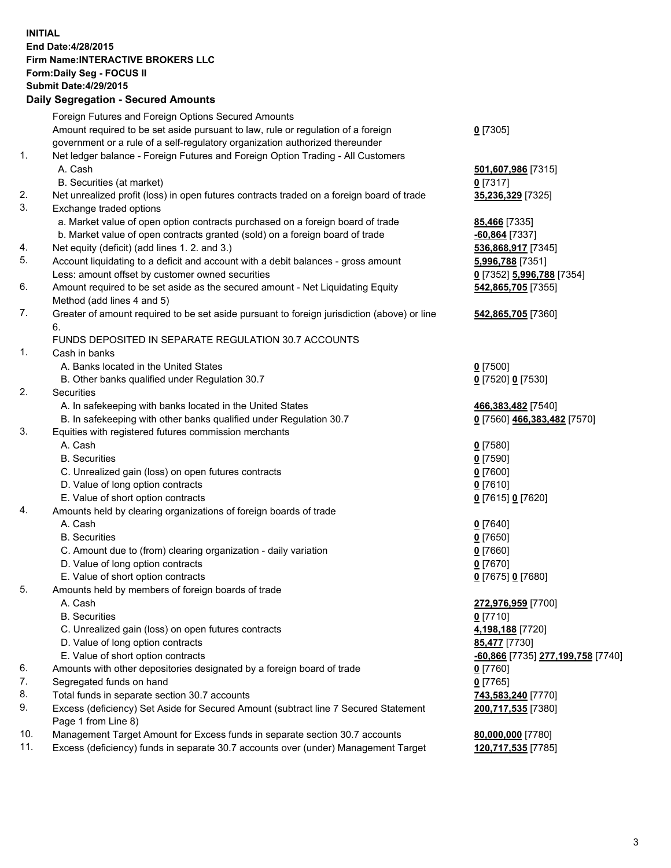## **INITIAL End Date:4/28/2015 Firm Name:INTERACTIVE BROKERS LLC Form:Daily Seg - FOCUS II Submit Date:4/29/2015 Daily Segregation - Secured Amounts**

|     | Dany Ocgregation - Oceanea Annoanta                                                         |                                                |
|-----|---------------------------------------------------------------------------------------------|------------------------------------------------|
|     | Foreign Futures and Foreign Options Secured Amounts                                         |                                                |
|     | Amount required to be set aside pursuant to law, rule or regulation of a foreign            | $0$ [7305]                                     |
|     | government or a rule of a self-regulatory organization authorized thereunder                |                                                |
| 1.  | Net ledger balance - Foreign Futures and Foreign Option Trading - All Customers             |                                                |
|     | A. Cash                                                                                     | 501,607,986 [7315]                             |
|     | B. Securities (at market)                                                                   | $0$ [7317]                                     |
| 2.  | Net unrealized profit (loss) in open futures contracts traded on a foreign board of trade   | 35,236,329 [7325]                              |
| 3.  | Exchange traded options                                                                     |                                                |
|     | a. Market value of open option contracts purchased on a foreign board of trade              | <b>85,466</b> [7335]                           |
|     | b. Market value of open contracts granted (sold) on a foreign board of trade                | -60,864 [7337]                                 |
| 4.  | Net equity (deficit) (add lines 1.2. and 3.)                                                | 536,868,917 [7345]                             |
| 5.  | Account liquidating to a deficit and account with a debit balances - gross amount           | 5,996,788 [7351]                               |
|     | Less: amount offset by customer owned securities                                            | 0 [7352] 5,996,788 [7354]                      |
| 6.  | Amount required to be set aside as the secured amount - Net Liquidating Equity              | 542,865,705 [7355]                             |
|     | Method (add lines 4 and 5)                                                                  |                                                |
| 7.  | Greater of amount required to be set aside pursuant to foreign jurisdiction (above) or line | 542,865,705 [7360]                             |
|     | 6.                                                                                          |                                                |
|     | FUNDS DEPOSITED IN SEPARATE REGULATION 30.7 ACCOUNTS                                        |                                                |
| 1.  | Cash in banks                                                                               |                                                |
|     | A. Banks located in the United States                                                       | $0$ [7500]                                     |
|     | B. Other banks qualified under Regulation 30.7                                              | 0 [7520] 0 [7530]                              |
| 2.  | Securities                                                                                  |                                                |
|     | A. In safekeeping with banks located in the United States                                   | 466,383,482 [7540]                             |
|     | B. In safekeeping with other banks qualified under Regulation 30.7                          | 0 [7560] 466,383,482 [7570]                    |
| 3.  | Equities with registered futures commission merchants                                       |                                                |
|     | A. Cash                                                                                     | $0$ [7580]                                     |
|     | <b>B.</b> Securities                                                                        | $0$ [7590]                                     |
|     | C. Unrealized gain (loss) on open futures contracts                                         | $0$ [7600]                                     |
|     | D. Value of long option contracts                                                           | $0$ [7610]                                     |
|     | E. Value of short option contracts                                                          | 0 [7615] 0 [7620]                              |
| 4.  | Amounts held by clearing organizations of foreign boards of trade                           |                                                |
|     | A. Cash                                                                                     | $0$ [7640]                                     |
|     | <b>B.</b> Securities                                                                        | $0$ [7650]                                     |
|     | C. Amount due to (from) clearing organization - daily variation                             | $0$ [7660]                                     |
|     | D. Value of long option contracts                                                           | $0$ [7670]                                     |
|     | E. Value of short option contracts                                                          | 0 [7675] 0 [7680]                              |
| 5.  | Amounts held by members of foreign boards of trade                                          |                                                |
|     | A. Cash                                                                                     | 272,976,959 [7700]                             |
|     | <b>B.</b> Securities                                                                        | $0$ [7710]                                     |
|     | C. Unrealized gain (loss) on open futures contracts                                         | 4,198,188 [7720]                               |
|     | D. Value of long option contracts                                                           | 85,477 [7730]                                  |
|     | E. Value of short option contracts                                                          | <mark>-60,866</mark> [7735] 277,199,758 [7740] |
| 6.  | Amounts with other depositories designated by a foreign board of trade                      | 0 [7760]                                       |
| 7.  | Segregated funds on hand                                                                    | $0$ [7765]                                     |
| 8.  | Total funds in separate section 30.7 accounts                                               | 743,583,240 [7770]                             |
| 9.  | Excess (deficiency) Set Aside for Secured Amount (subtract line 7 Secured Statement         | 200,717,535 [7380]                             |
|     | Page 1 from Line 8)                                                                         |                                                |
| 10. | Management Target Amount for Excess funds in separate section 30.7 accounts                 | 80,000,000 [7780]                              |
| 11. | Excess (deficiency) funds in separate 30.7 accounts over (under) Management Target          | 120,717,535 [7785]                             |
|     |                                                                                             |                                                |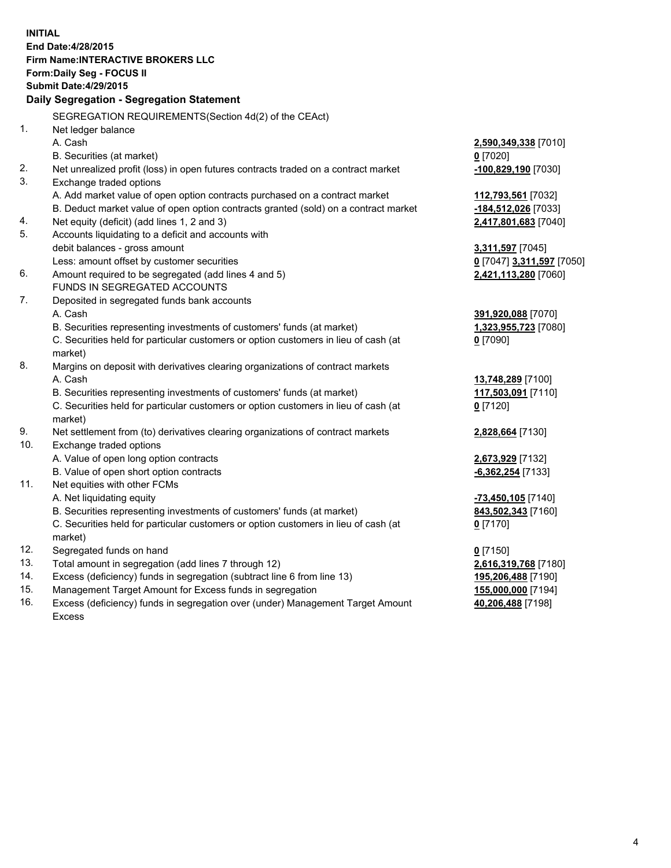**INITIAL End Date:4/28/2015 Firm Name:INTERACTIVE BROKERS LLC Form:Daily Seg - FOCUS II Submit Date:4/29/2015 Daily Segregation - Segregation Statement** SEGREGATION REQUIREMENTS(Section 4d(2) of the CEAct) 1. Net ledger balance A. Cash **2,590,349,338** [7010] B. Securities (at market) **0** [7020] 2. Net unrealized profit (loss) in open futures contracts traded on a contract market **-100,829,190** [7030] 3. Exchange traded options A. Add market value of open option contracts purchased on a contract market **112,793,561** [7032] B. Deduct market value of open option contracts granted (sold) on a contract market **-184,512,026** [7033] 4. Net equity (deficit) (add lines 1, 2 and 3) **2,417,801,683** [7040] 5. Accounts liquidating to a deficit and accounts with debit balances - gross amount **3,311,597** [7045] Less: amount offset by customer securities **0** [7047] **3,311,597** [7050] 6. Amount required to be segregated (add lines 4 and 5) **2,421,113,280** [7060] FUNDS IN SEGREGATED ACCOUNTS 7. Deposited in segregated funds bank accounts A. Cash **391,920,088** [7070] B. Securities representing investments of customers' funds (at market) **1,323,955,723** [7080] C. Securities held for particular customers or option customers in lieu of cash (at market) **0** [7090] 8. Margins on deposit with derivatives clearing organizations of contract markets A. Cash **13,748,289** [7100] B. Securities representing investments of customers' funds (at market) **117,503,091** [7110] C. Securities held for particular customers or option customers in lieu of cash (at market) **0** [7120] 9. Net settlement from (to) derivatives clearing organizations of contract markets **2,828,664** [7130] 10. Exchange traded options A. Value of open long option contracts **2,673,929** [7132] B. Value of open short option contracts **-6,362,254** [7133] 11. Net equities with other FCMs A. Net liquidating equity **-73,450,105** [7140] B. Securities representing investments of customers' funds (at market) **843,502,343** [7160] C. Securities held for particular customers or option customers in lieu of cash (at market) **0** [7170] 12. Segregated funds on hand **0** [7150] 13. Total amount in segregation (add lines 7 through 12) **2,616,319,768** [7180] 14. Excess (deficiency) funds in segregation (subtract line 6 from line 13) **195,206,488** [7190] 15. Management Target Amount for Excess funds in segregation **155,000,000** [7194]

16. Excess (deficiency) funds in segregation over (under) Management Target Amount Excess

**40,206,488** [7198]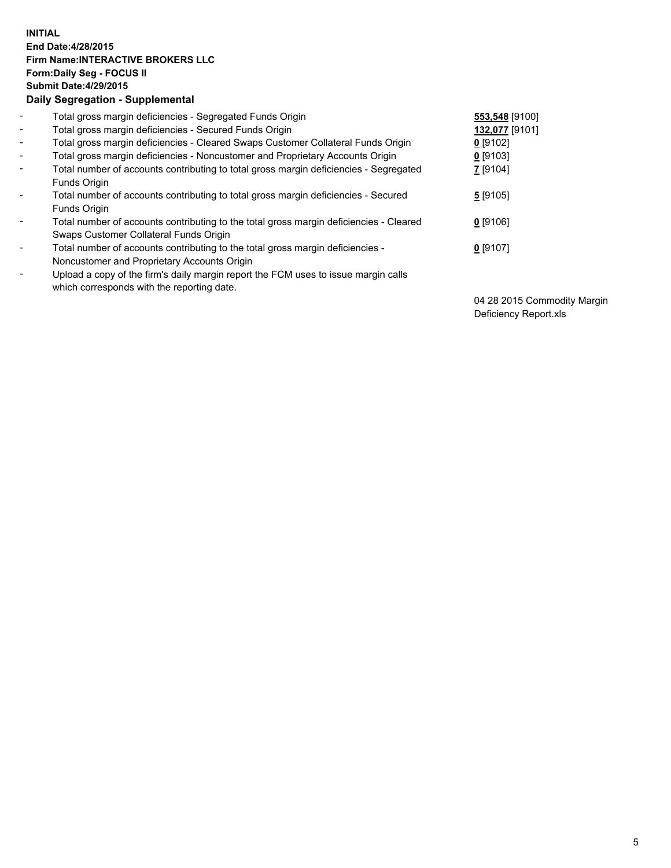## **INITIAL End Date:4/28/2015 Firm Name:INTERACTIVE BROKERS LLC Form:Daily Seg - FOCUS II Submit Date:4/29/2015 Daily Segregation - Supplemental**

| $\blacksquare$ | Total gross margin deficiencies - Segregated Funds Origin                              | 553,548 [9100] |
|----------------|----------------------------------------------------------------------------------------|----------------|
| $\sim$         | Total gross margin deficiencies - Secured Funds Origin                                 | 132,077 [9101] |
| $\blacksquare$ | Total gross margin deficiencies - Cleared Swaps Customer Collateral Funds Origin       | $0$ [9102]     |
| $\blacksquare$ | Total gross margin deficiencies - Noncustomer and Proprietary Accounts Origin          | $0$ [9103]     |
| $\blacksquare$ | Total number of accounts contributing to total gross margin deficiencies - Segregated  | 7 [9104]       |
|                | Funds Origin                                                                           |                |
| $\blacksquare$ | Total number of accounts contributing to total gross margin deficiencies - Secured     | 5[9105]        |
|                | Funds Origin                                                                           |                |
| Ξ.             | Total number of accounts contributing to the total gross margin deficiencies - Cleared | $0$ [9106]     |
|                | Swaps Customer Collateral Funds Origin                                                 |                |
| ۰              | Total number of accounts contributing to the total gross margin deficiencies -         | $0$ [9107]     |
|                | Noncustomer and Proprietary Accounts Origin                                            |                |
| $\blacksquare$ | Upload a copy of the firm's daily margin report the FCM uses to issue margin calls     |                |
|                | which corresponds with the reporting date.                                             |                |

04 28 2015 Commodity Margin Deficiency Report.xls